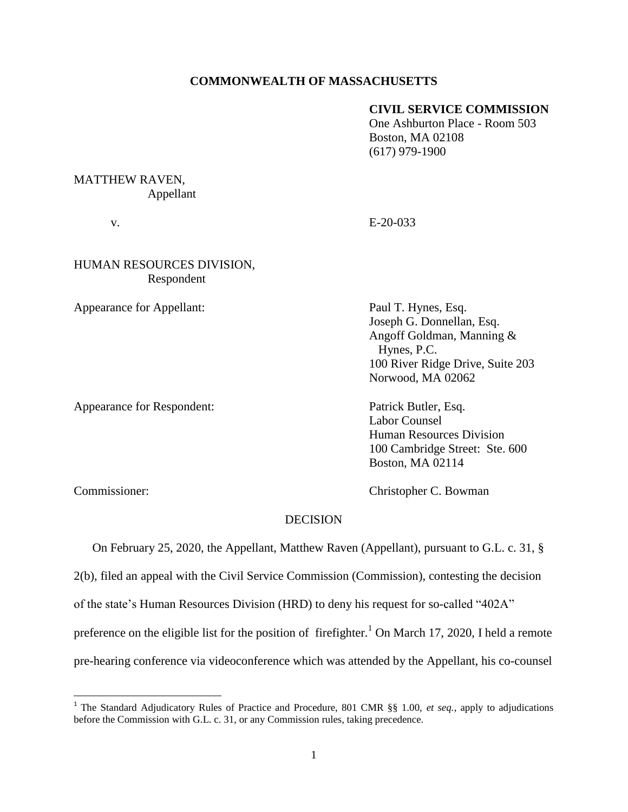## **COMMONWEALTH OF MASSACHUSETTS**

## **CIVIL SERVICE COMMISSION**

One Ashburton Place - Room 503 Boston, MA 02108 (617) 979-1900

# MATTHEW RAVEN, Appellant

v. E-20-033

# HUMAN RESOURCES DIVISION, Respondent

Appearance for Appellant: Paul T. Hynes, Esq.

Appearance for Respondent: Patrick Butler, Esq.

Joseph G. Donnellan, Esq. Angoff Goldman, Manning & Hynes, P.C. 100 River Ridge Drive, Suite 203 Norwood, MA 02062

Labor Counsel Human Resources Division 100 Cambridge Street: Ste. 600 Boston, MA 02114

 $\overline{\phantom{a}}$ 

Commissioner: Christopher C. Bowman

## DECISION

On February 25, 2020, the Appellant, Matthew Raven (Appellant), pursuant to G.L. c. 31, §

2(b), filed an appeal with the Civil Service Commission (Commission), contesting the decision

of the state's Human Resources Division (HRD) to deny his request for so-called "402A"

preference on the eligible list for the position of firefighter.<sup>1</sup> On March 17, 2020, I held a remote

pre-hearing conference via videoconference which was attended by the Appellant, his co-counsel

<sup>&</sup>lt;sup>1</sup> The Standard Adjudicatory Rules of Practice and Procedure, 801 CMR §§ 1.00, *et seq.*, apply to adjudications before the Commission with G.L. c. 31, or any Commission rules, taking precedence.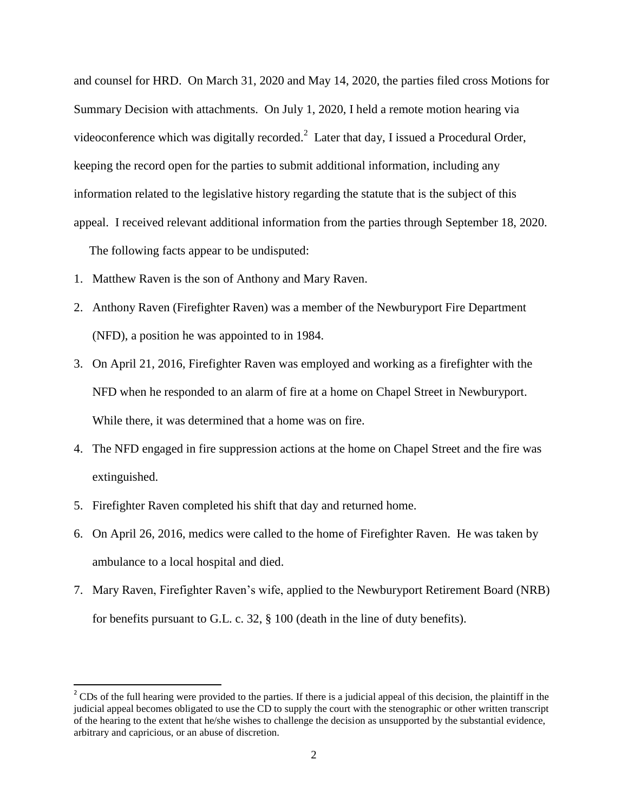and counsel for HRD. On March 31, 2020 and May 14, 2020, the parties filed cross Motions for Summary Decision with attachments. On July 1, 2020, I held a remote motion hearing via videoconference which was digitally recorded. $^2$  Later that day, I issued a Procedural Order, keeping the record open for the parties to submit additional information, including any information related to the legislative history regarding the statute that is the subject of this appeal. I received relevant additional information from the parties through September 18, 2020. The following facts appear to be undisputed:

- 1. Matthew Raven is the son of Anthony and Mary Raven.
- 2. Anthony Raven (Firefighter Raven) was a member of the Newburyport Fire Department (NFD), a position he was appointed to in 1984.
- 3. On April 21, 2016, Firefighter Raven was employed and working as a firefighter with the NFD when he responded to an alarm of fire at a home on Chapel Street in Newburyport. While there, it was determined that a home was on fire.
- 4. The NFD engaged in fire suppression actions at the home on Chapel Street and the fire was extinguished.
- 5. Firefighter Raven completed his shift that day and returned home.

 $\overline{\phantom{a}}$ 

- 6. On April 26, 2016, medics were called to the home of Firefighter Raven. He was taken by ambulance to a local hospital and died.
- 7. Mary Raven, Firefighter Raven's wife, applied to the Newburyport Retirement Board (NRB) for benefits pursuant to G.L. c. 32, § 100 (death in the line of duty benefits).

 $2^2$  CDs of the full hearing were provided to the parties. If there is a judicial appeal of this decision, the plaintiff in the judicial appeal becomes obligated to use the CD to supply the court with the stenographic or other written transcript of the hearing to the extent that he/she wishes to challenge the decision as unsupported by the substantial evidence, arbitrary and capricious, or an abuse of discretion.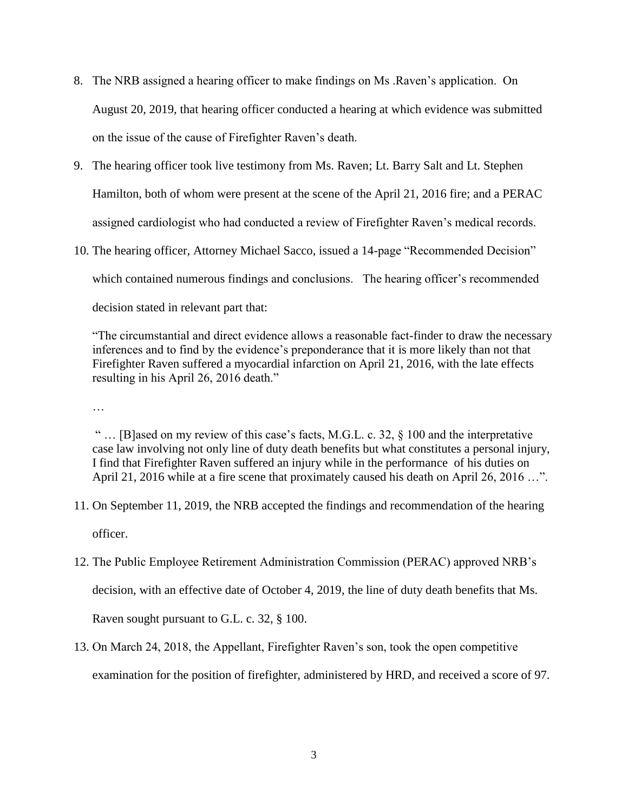- 8. The NRB assigned a hearing officer to make findings on Ms .Raven's application. On August 20, 2019, that hearing officer conducted a hearing at which evidence was submitted on the issue of the cause of Firefighter Raven's death.
- 9. The hearing officer took live testimony from Ms. Raven; Lt. Barry Salt and Lt. Stephen Hamilton, both of whom were present at the scene of the April 21, 2016 fire; and a PERAC assigned cardiologist who had conducted a review of Firefighter Raven's medical records.
- 10. The hearing officer, Attorney Michael Sacco, issued a 14-page "Recommended Decision" which contained numerous findings and conclusions. The hearing officer's recommended decision stated in relevant part that:

"The circumstantial and direct evidence allows a reasonable fact-finder to draw the necessary inferences and to find by the evidence's preponderance that it is more likely than not that Firefighter Raven suffered a myocardial infarction on April 21, 2016, with the late effects resulting in his April 26, 2016 death."

…

" … [B]ased on my review of this case's facts, M.G.L. c. 32, § 100 and the interpretative case law involving not only line of duty death benefits but what constitutes a personal injury, I find that Firefighter Raven suffered an injury while in the performance of his duties on April 21, 2016 while at a fire scene that proximately caused his death on April 26, 2016 ...".

- 11. On September 11, 2019, the NRB accepted the findings and recommendation of the hearing officer.
- 12. The Public Employee Retirement Administration Commission (PERAC) approved NRB's decision, with an effective date of October 4, 2019, the line of duty death benefits that Ms. Raven sought pursuant to G.L. c. 32, § 100.
- 13. On March 24, 2018, the Appellant, Firefighter Raven's son, took the open competitive examination for the position of firefighter, administered by HRD, and received a score of 97.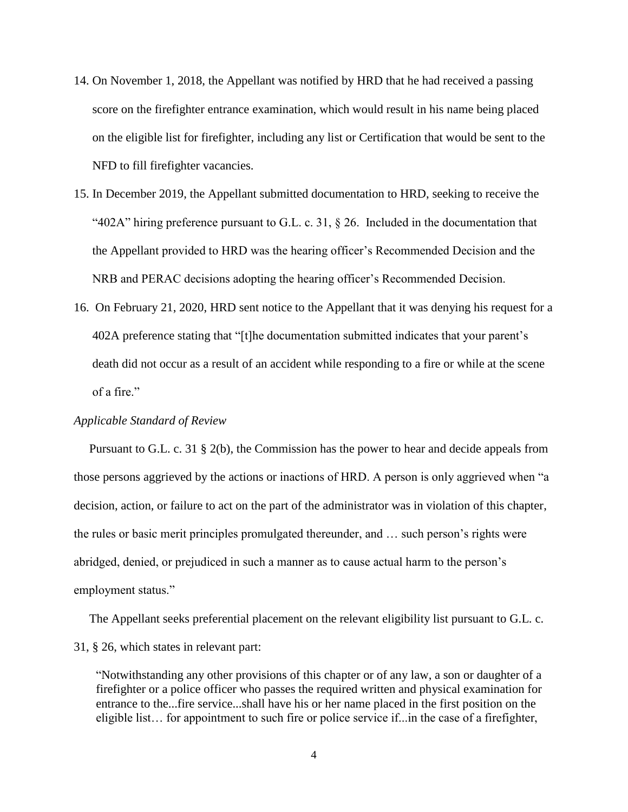- 14. On November 1, 2018, the Appellant was notified by HRD that he had received a passing score on the firefighter entrance examination, which would result in his name being placed on the eligible list for firefighter, including any list or Certification that would be sent to the NFD to fill firefighter vacancies.
- 15. In December 2019, the Appellant submitted documentation to HRD, seeking to receive the "402A" hiring preference pursuant to G.L. c. 31,  $\S$  26. Included in the documentation that the Appellant provided to HRD was the hearing officer's Recommended Decision and the NRB and PERAC decisions adopting the hearing officer's Recommended Decision.
- 16. On February 21, 2020, HRD sent notice to the Appellant that it was denying his request for a 402A preference stating that "[t]he documentation submitted indicates that your parent's death did not occur as a result of an accident while responding to a fire or while at the scene of a fire."

#### *Applicable Standard of Review*

 Pursuant to G.L. c. 31 § 2(b), the Commission has the power to hear and decide appeals from those persons aggrieved by the actions or inactions of HRD. A person is only aggrieved when "a decision, action, or failure to act on the part of the administrator was in violation of this chapter, the rules or basic merit principles promulgated thereunder, and … such person's rights were abridged, denied, or prejudiced in such a manner as to cause actual harm to the person's employment status."

 The Appellant seeks preferential placement on the relevant eligibility list pursuant to G.L. c. 31, § 26, which states in relevant part:

"Notwithstanding any other provisions of this chapter or of any law, a son or daughter of a firefighter or a police officer who passes the required written and physical examination for entrance to the...fire service...shall have his or her name placed in the first position on the eligible list… for appointment to such fire or police service if...in the case of a firefighter,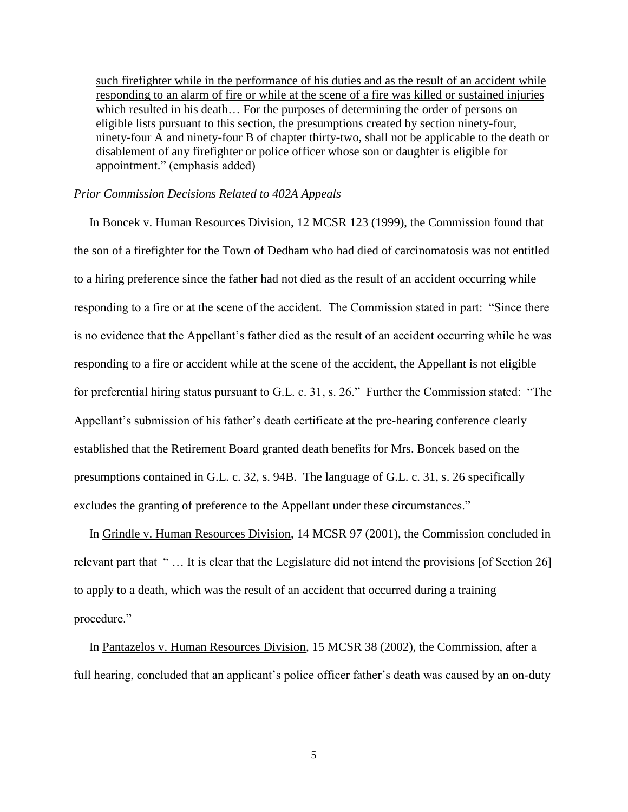such firefighter while in the performance of his duties and as the result of an accident while responding to an alarm of fire or while at the scene of a fire was killed or sustained injuries which resulted in his death… For the purposes of determining the order of persons on eligible lists pursuant to this section, the presumptions created by section ninety-four, ninety-four A and ninety-four B of chapter thirty-two, shall not be applicable to the death or disablement of any firefighter or police officer whose son or daughter is eligible for appointment." (emphasis added)

### *Prior Commission Decisions Related to 402A Appeals*

 In Boncek v. Human Resources Division, 12 MCSR 123 (1999), the Commission found that the son of a firefighter for the Town of Dedham who had died of carcinomatosis was not entitled to a hiring preference since the father had not died as the result of an accident occurring while responding to a fire or at the scene of the accident. The Commission stated in part: "Since there is no evidence that the Appellant's father died as the result of an accident occurring while he was responding to a fire or accident while at the scene of the accident, the Appellant is not eligible for preferential hiring status pursuant to G.L. c. 31, s. 26." Further the Commission stated: "The Appellant's submission of his father's death certificate at the pre-hearing conference clearly established that the Retirement Board granted death benefits for Mrs. Boncek based on the presumptions contained in G.L. c. 32, s. 94B. The language of G.L. c. 31, s. 26 specifically excludes the granting of preference to the Appellant under these circumstances."

 In Grindle v. Human Resources Division, 14 MCSR 97 (2001), the Commission concluded in relevant part that " … It is clear that the Legislature did not intend the provisions [of Section 26] to apply to a death, which was the result of an accident that occurred during a training procedure."

 In Pantazelos v. Human Resources Division, 15 MCSR 38 (2002), the Commission, after a full hearing, concluded that an applicant's police officer father's death was caused by an on-duty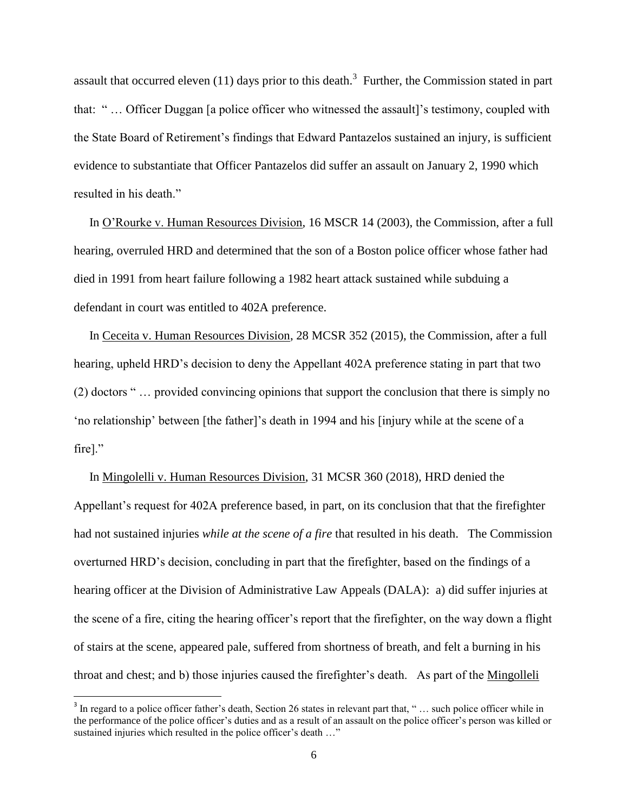assault that occurred eleven  $(11)$  days prior to this death.<sup>3</sup> Further, the Commission stated in part that: " … Officer Duggan [a police officer who witnessed the assault]'s testimony, coupled with the State Board of Retirement's findings that Edward Pantazelos sustained an injury, is sufficient evidence to substantiate that Officer Pantazelos did suffer an assault on January 2, 1990 which resulted in his death."

 In O'Rourke v. Human Resources Division, 16 MSCR 14 (2003), the Commission, after a full hearing, overruled HRD and determined that the son of a Boston police officer whose father had died in 1991 from heart failure following a 1982 heart attack sustained while subduing a defendant in court was entitled to 402A preference.

 In Ceceita v. Human Resources Division, 28 MCSR 352 (2015), the Commission, after a full hearing, upheld HRD's decision to deny the Appellant 402A preference stating in part that two (2) doctors " … provided convincing opinions that support the conclusion that there is simply no 'no relationship' between [the father]'s death in 1994 and his [injury while at the scene of a fire]."

 In Mingolelli v. Human Resources Division, 31 MCSR 360 (2018), HRD denied the Appellant's request for 402A preference based, in part, on its conclusion that that the firefighter had not sustained injuries *while at the scene of a fire* that resulted in his death. The Commission overturned HRD's decision, concluding in part that the firefighter, based on the findings of a hearing officer at the Division of Administrative Law Appeals (DALA): a) did suffer injuries at the scene of a fire, citing the hearing officer's report that the firefighter, on the way down a flight of stairs at the scene, appeared pale, suffered from shortness of breath, and felt a burning in his throat and chest; and b) those injuries caused the firefighter's death. As part of the Mingolleli

 $\overline{\phantom{a}}$ 

 $3$  In regard to a police officer father's death, Section 26 states in relevant part that, " $\ldots$  such police officer while in the performance of the police officer's duties and as a result of an assault on the police officer's person was killed or sustained injuries which resulted in the police officer's death ..."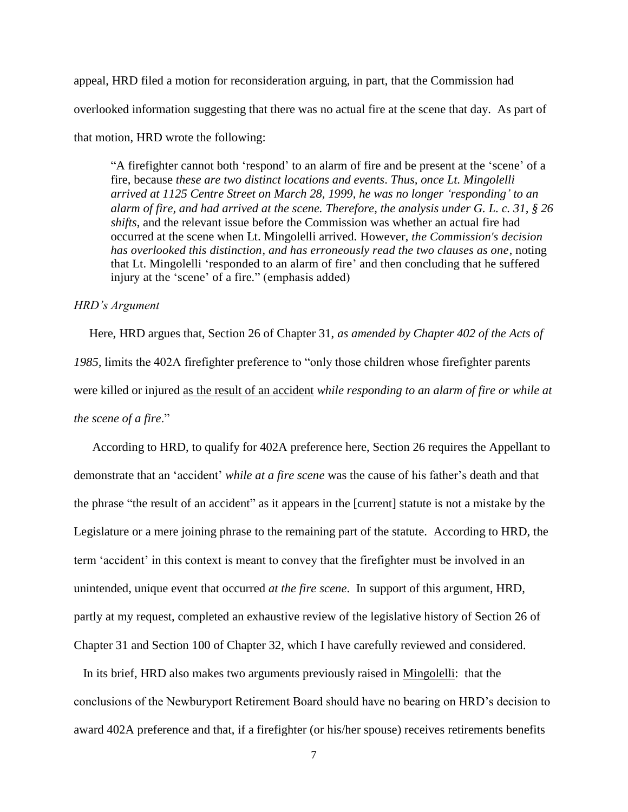appeal, HRD filed a motion for reconsideration arguing, in part, that the Commission had overlooked information suggesting that there was no actual fire at the scene that day. As part of that motion, HRD wrote the following:

"A firefighter cannot both 'respond' to an alarm of fire and be present at the 'scene' of a fire, because *these are two distinct locations and events*. *Thus, once Lt. Mingolelli arrived at 1125 Centre Street on March 28, 1999, he was no longer 'responding' to an alarm of fire, and had arrived at the scene. Therefore, the analysis under G. L. c. 31, § 26 shifts*, and the relevant issue before the Commission was whether an actual fire had occurred at the scene when Lt. Mingolelli arrived. However, *the Commission's decision has overlooked this distinction*, *and has erroneously read the two clauses as one*, noting that Lt. Mingolelli 'responded to an alarm of fire' and then concluding that he suffered injury at the 'scene' of a fire." (emphasis added)

### *HRD's Argument*

 Here, HRD argues that, Section 26 of Chapter 31, *as amended by Chapter 402 of the Acts of 1985,* limits the 402A firefighter preference to "only those children whose firefighter parents were killed or injured as the result of an accident *while responding to an alarm of fire or while at the scene of a fire*."

 According to HRD, to qualify for 402A preference here, Section 26 requires the Appellant to demonstrate that an 'accident' *while at a fire scene* was the cause of his father's death and that the phrase "the result of an accident" as it appears in the [current] statute is not a mistake by the Legislature or a mere joining phrase to the remaining part of the statute. According to HRD, the term 'accident' in this context is meant to convey that the firefighter must be involved in an unintended, unique event that occurred *at the fire scene*. In support of this argument, HRD, partly at my request, completed an exhaustive review of the legislative history of Section 26 of Chapter 31 and Section 100 of Chapter 32, which I have carefully reviewed and considered.

 In its brief, HRD also makes two arguments previously raised in Mingolelli: that the conclusions of the Newburyport Retirement Board should have no bearing on HRD's decision to award 402A preference and that, if a firefighter (or his/her spouse) receives retirements benefits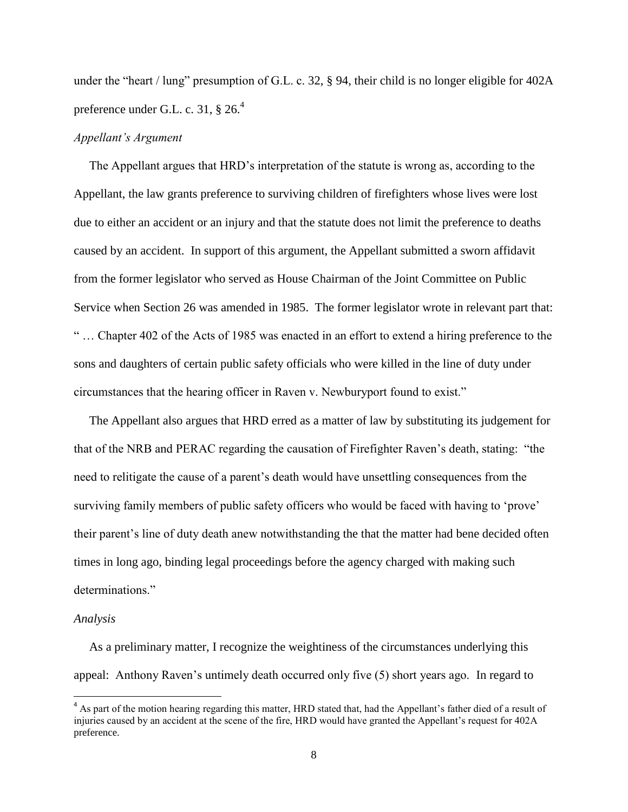under the "heart / lung" presumption of G.L. c. 32, § 94, their child is no longer eligible for 402A preference under G.L. c. 31,  $\S 26<sup>4</sup>$ 

### *Appellant's Argument*

 The Appellant argues that HRD's interpretation of the statute is wrong as, according to the Appellant, the law grants preference to surviving children of firefighters whose lives were lost due to either an accident or an injury and that the statute does not limit the preference to deaths caused by an accident. In support of this argument, the Appellant submitted a sworn affidavit from the former legislator who served as House Chairman of the Joint Committee on Public Service when Section 26 was amended in 1985. The former legislator wrote in relevant part that: " … Chapter 402 of the Acts of 1985 was enacted in an effort to extend a hiring preference to the sons and daughters of certain public safety officials who were killed in the line of duty under circumstances that the hearing officer in Raven v. Newburyport found to exist."

 The Appellant also argues that HRD erred as a matter of law by substituting its judgement for that of the NRB and PERAC regarding the causation of Firefighter Raven's death, stating: "the need to relitigate the cause of a parent's death would have unsettling consequences from the surviving family members of public safety officers who would be faced with having to 'prove' their parent's line of duty death anew notwithstanding the that the matter had bene decided often times in long ago, binding legal proceedings before the agency charged with making such determinations."

#### *Analysis*

 $\overline{\phantom{a}}$ 

 As a preliminary matter, I recognize the weightiness of the circumstances underlying this appeal: Anthony Raven's untimely death occurred only five (5) short years ago. In regard to

 $<sup>4</sup>$  As part of the motion hearing regarding this matter, HRD stated that, had the Appellant's father died of a result of</sup> injuries caused by an accident at the scene of the fire, HRD would have granted the Appellant's request for 402A preference.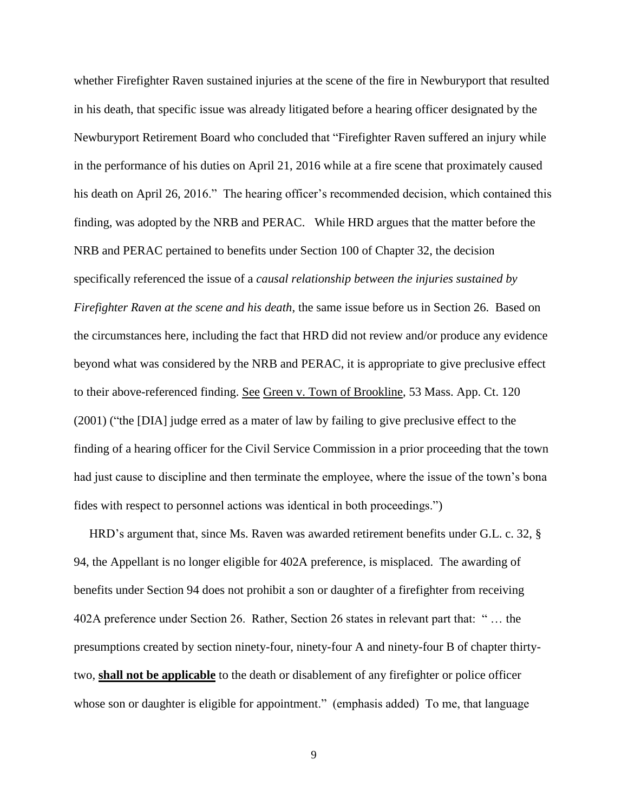whether Firefighter Raven sustained injuries at the scene of the fire in Newburyport that resulted in his death, that specific issue was already litigated before a hearing officer designated by the Newburyport Retirement Board who concluded that "Firefighter Raven suffered an injury while in the performance of his duties on April 21, 2016 while at a fire scene that proximately caused his death on April 26, 2016." The hearing officer's recommended decision, which contained this finding, was adopted by the NRB and PERAC. While HRD argues that the matter before the NRB and PERAC pertained to benefits under Section 100 of Chapter 32, the decision specifically referenced the issue of a *causal relationship between the injuries sustained by Firefighter Raven at the scene and his death*, the same issue before us in Section 26. Based on the circumstances here, including the fact that HRD did not review and/or produce any evidence beyond what was considered by the NRB and PERAC, it is appropriate to give preclusive effect to their above-referenced finding. See Green v. Town of Brookline, 53 Mass. App. Ct. 120 (2001) ("the [DIA] judge erred as a mater of law by failing to give preclusive effect to the finding of a hearing officer for the Civil Service Commission in a prior proceeding that the town had just cause to discipline and then terminate the employee, where the issue of the town's bona fides with respect to personnel actions was identical in both proceedings.")

 HRD's argument that, since Ms. Raven was awarded retirement benefits under G.L. c. 32, § 94, the Appellant is no longer eligible for 402A preference, is misplaced. The awarding of benefits under Section 94 does not prohibit a son or daughter of a firefighter from receiving 402A preference under Section 26. Rather, Section 26 states in relevant part that: " … the presumptions created by section ninety-four, ninety-four A and ninety-four B of chapter thirtytwo, **shall not be applicable** to the death or disablement of any firefighter or police officer whose son or daughter is eligible for appointment." (emphasis added) To me, that language

9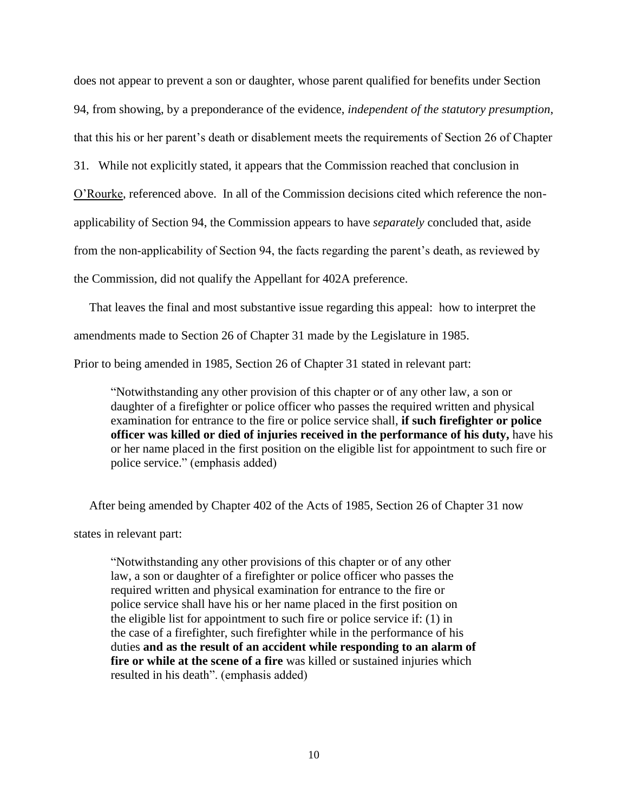does not appear to prevent a son or daughter, whose parent qualified for benefits under Section 94, from showing, by a preponderance of the evidence, *independent of the statutory presumption*, that this his or her parent's death or disablement meets the requirements of Section 26 of Chapter 31. While not explicitly stated, it appears that the Commission reached that conclusion in O'Rourke, referenced above. In all of the Commission decisions cited which reference the nonapplicability of Section 94, the Commission appears to have *separately* concluded that, aside from the non-applicability of Section 94, the facts regarding the parent's death, as reviewed by the Commission, did not qualify the Appellant for 402A preference.

 That leaves the final and most substantive issue regarding this appeal: how to interpret the amendments made to Section 26 of Chapter 31 made by the Legislature in 1985.

Prior to being amended in 1985, Section 26 of Chapter 31 stated in relevant part:

"Notwithstanding any other provision of this chapter or of any other law, a son or daughter of a firefighter or police officer who passes the required written and physical examination for entrance to the fire or police service shall, **if such firefighter or police officer was killed or died of injuries received in the performance of his duty,** have his or her name placed in the first position on the eligible list for appointment to such fire or police service." (emphasis added)

After being amended by Chapter 402 of the Acts of 1985, Section 26 of Chapter 31 now

states in relevant part:

"Notwithstanding any other provisions of this chapter or of any other law, a son or daughter of a firefighter or police officer who passes the required written and physical examination for entrance to the fire or police service shall have his or her name placed in the first position on the eligible list for appointment to such fire or police service if: (1) in the case of a firefighter, such firefighter while in the performance of his duties **and as the result of an accident while responding to an alarm of fire or while at the scene of a fire** was killed or sustained injuries which resulted in his death". (emphasis added)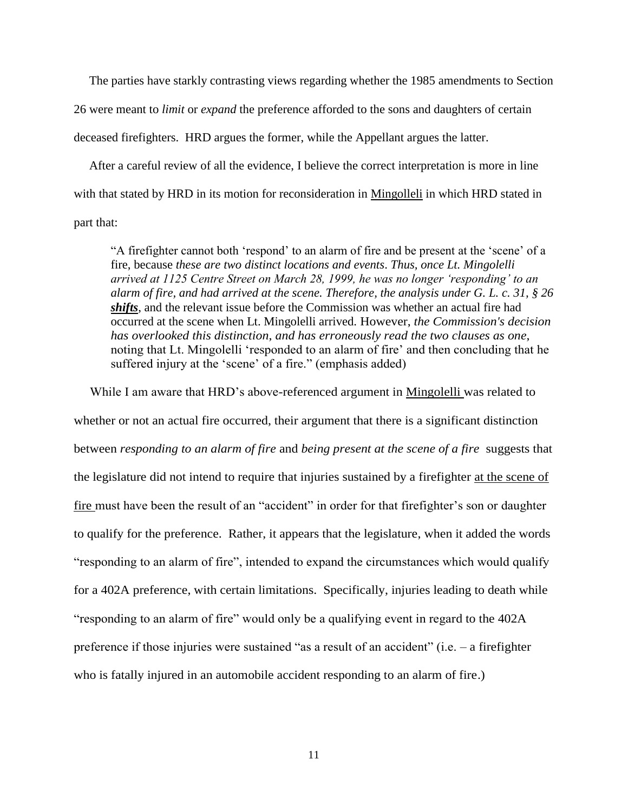The parties have starkly contrasting views regarding whether the 1985 amendments to Section 26 were meant to *limit* or *expand* the preference afforded to the sons and daughters of certain deceased firefighters. HRD argues the former, while the Appellant argues the latter.

 After a careful review of all the evidence, I believe the correct interpretation is more in line with that stated by HRD in its motion for reconsideration in Mingolleli in which HRD stated in part that:

"A firefighter cannot both 'respond' to an alarm of fire and be present at the 'scene' of a fire, because *these are two distinct locations and events*. *Thus, once Lt. Mingolelli arrived at 1125 Centre Street on March 28, 1999, he was no longer 'responding' to an alarm of fire, and had arrived at the scene. Therefore, the analysis under G. L. c. 31, § 26 shifts*, and the relevant issue before the Commission was whether an actual fire had occurred at the scene when Lt. Mingolelli arrived. However, *the Commission's decision has overlooked this distinction*, *and has erroneously read the two clauses as one*, noting that Lt. Mingolelli 'responded to an alarm of fire' and then concluding that he suffered injury at the 'scene' of a fire." (emphasis added)

 While I am aware that HRD's above-referenced argument in Mingolelli was related to whether or not an actual fire occurred, their argument that there is a significant distinction between *responding to an alarm of fire* and *being present at the scene of a fire* suggests that the legislature did not intend to require that injuries sustained by a firefighter at the scene of fire must have been the result of an "accident" in order for that firefighter's son or daughter to qualify for the preference. Rather, it appears that the legislature, when it added the words "responding to an alarm of fire", intended to expand the circumstances which would qualify for a 402A preference, with certain limitations. Specifically, injuries leading to death while "responding to an alarm of fire" would only be a qualifying event in regard to the 402A preference if those injuries were sustained "as a result of an accident" (i.e. – a firefighter who is fatally injured in an automobile accident responding to an alarm of fire.)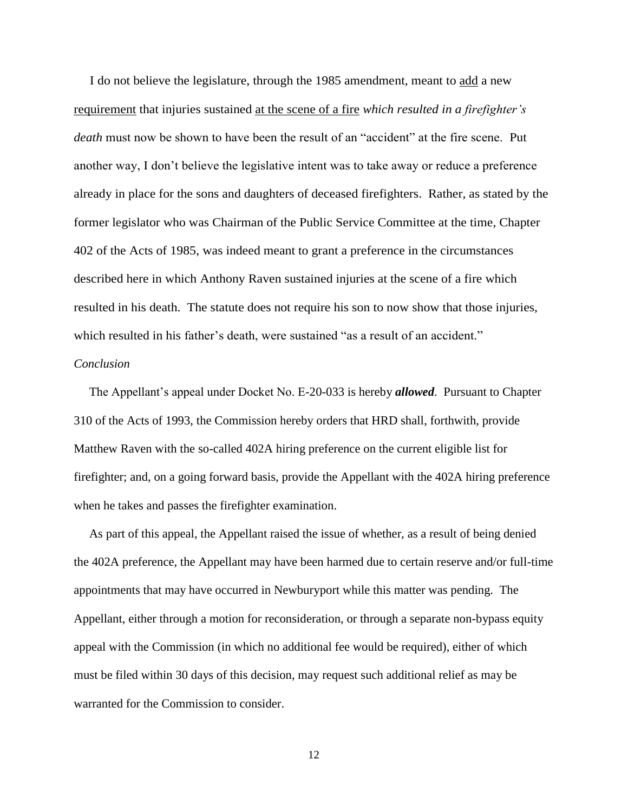I do not believe the legislature, through the 1985 amendment, meant to add a new requirement that injuries sustained at the scene of a fire *which resulted in a firefighter's death* must now be shown to have been the result of an "accident" at the fire scene. Put another way, I don't believe the legislative intent was to take away or reduce a preference already in place for the sons and daughters of deceased firefighters. Rather, as stated by the former legislator who was Chairman of the Public Service Committee at the time, Chapter 402 of the Acts of 1985, was indeed meant to grant a preference in the circumstances described here in which Anthony Raven sustained injuries at the scene of a fire which resulted in his death. The statute does not require his son to now show that those injuries, which resulted in his father's death, were sustained "as a result of an accident." *Conclusion*

 The Appellant's appeal under Docket No. E-20-033 is hereby *allowed*. Pursuant to Chapter 310 of the Acts of 1993, the Commission hereby orders that HRD shall, forthwith, provide Matthew Raven with the so-called 402A hiring preference on the current eligible list for firefighter; and, on a going forward basis, provide the Appellant with the 402A hiring preference when he takes and passes the firefighter examination.

 As part of this appeal, the Appellant raised the issue of whether, as a result of being denied the 402A preference, the Appellant may have been harmed due to certain reserve and/or full-time appointments that may have occurred in Newburyport while this matter was pending. The Appellant, either through a motion for reconsideration, or through a separate non-bypass equity appeal with the Commission (in which no additional fee would be required), either of which must be filed within 30 days of this decision, may request such additional relief as may be warranted for the Commission to consider.

12